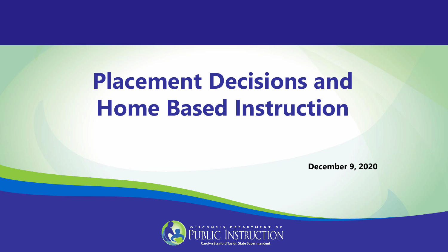## **Placement Decisions and Home Based Instruction**

**December 9, 2020**

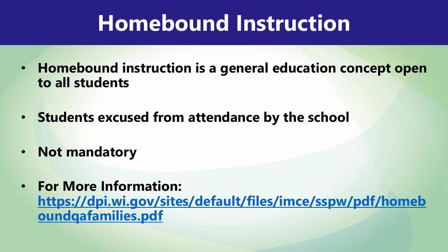### **Homebound Instruction**

- **Homebound instruction is a general education concept open to all students**
- **Students excused from attendance by the school**
- **Not mandatory**
- **For More Information: [https://dpi.wi.gov/sites/default/files/imce/sspw/pdf/homeb](https://dpi.wi.gov/sites/default/files/imce/sspw/pdf/homeboundqafamilies.pdf) oundqafamilies.pdf**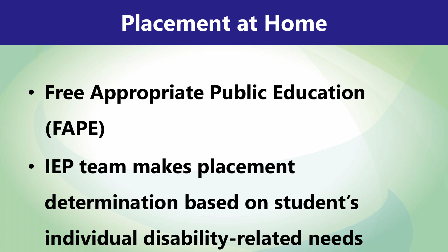#### **Placement at Home**

- **Free Appropriate Public Education (FAPE)**
- **IEP team makes placement**

**determination based on student's** 

**individual disability-related needs**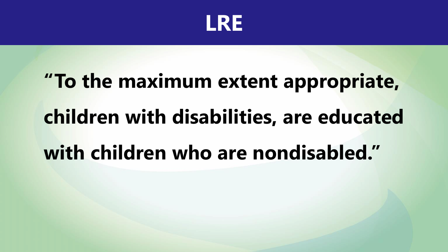

# **"To the maximum extent appropriate, children with disabilities, are educated with children who are nondisabled."**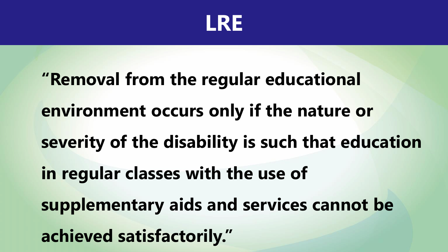

**"Removal from the regular educational environment occurs only if the nature or severity of the disability is such that education in regular classes with the use of supplementary aids and services cannot be achieved satisfactorily."**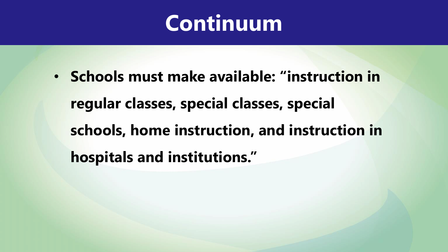#### **Continuum**

• **Schools must make available: "instruction in regular classes, special classes, special schools, home instruction, and instruction in hospitals and institutions."**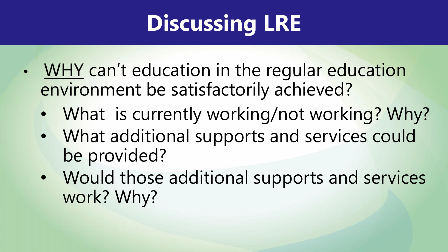## **Discussing LRE**

- WHY can't education in the regular education environment be satisfactorily achieved?
	- What is currently working/not working? Why?
	- What additional supports and services could be provided?
	- Would those additional supports and services work? Why?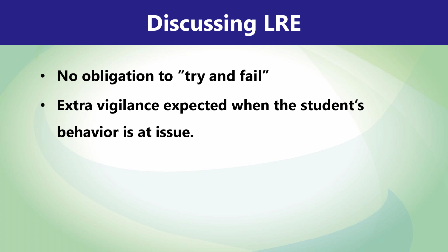## **Discussing LRE**

- **No obligation to "try and fail"**
- **Extra vigilance expected when the student's behavior is at issue.**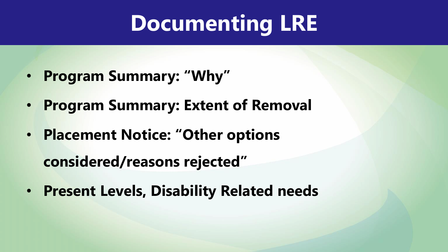## **Documenting LRE**

- **Program Summary: "Why"**
- **Program Summary: Extent of Removal**
- **Placement Notice: "Other options**

**considered/reasons rejected"**

• **Present Levels, Disability Related needs**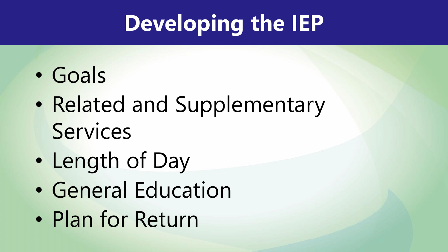# **Developing the IEP**

- Goals
- Related and Supplementary **Services**
- Length of Day
- General Education
- Plan for Return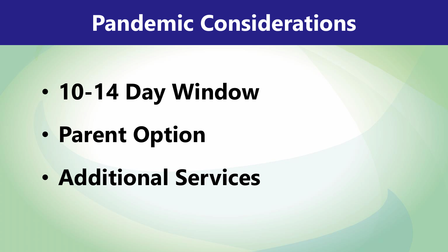#### **Pandemic Considerations**

- **10-14 Day Window**
- **Parent Option**
- **Additional Services**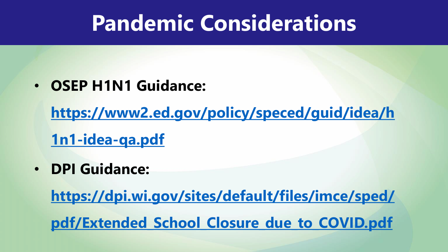#### **Pandemic Considerations**

• **OSEP H1N1 Guidance:** 

**[https://www2.ed.gov/policy/speced/guid/idea/h](https://www2.ed.gov/policy/speced/guid/idea/h1n1-idea-qa.pdf)**

**1n1-idea-qa.pdf**

• **DPI Guidance:** 

**https://dpi.wi.gov/sites/default/files/imce/sped/ [pdf/Extended\\_School\\_Closure\\_due\\_to\\_COVID.pdf](https://dpi.wi.gov/sites/default/files/imce/sped/pdf/Extended_School_Closure_due_to_COVID.pdf)**